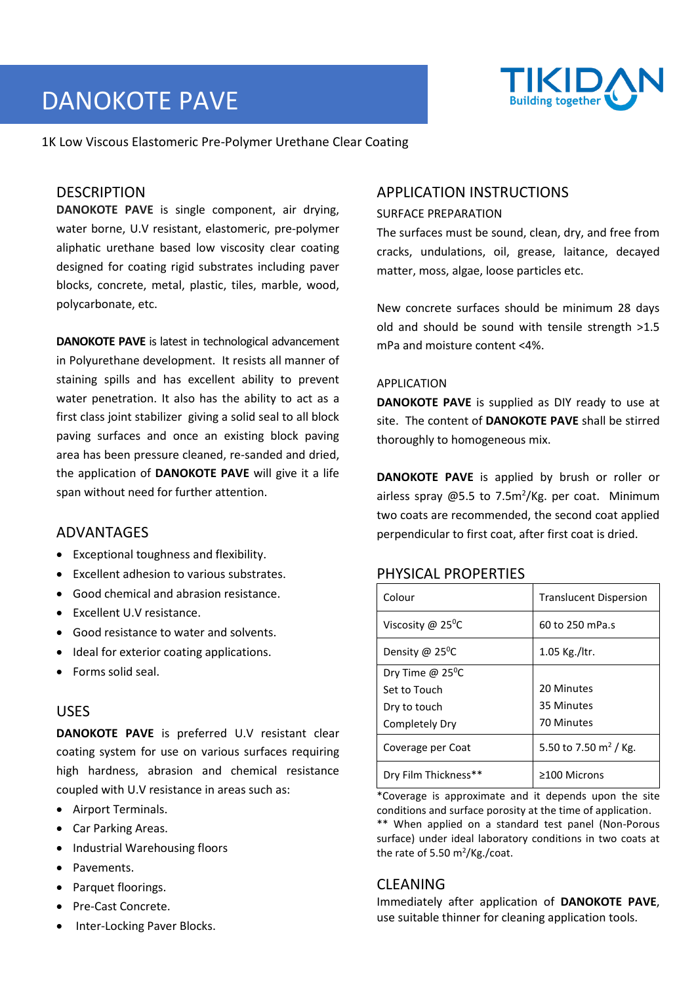# DANOKOTE PAVE



1K Low Viscous Elastomeric Pre-Polymer Urethane Clear Coating

# DESCRIPTION

**DANOKOTE PAVE** is single component, air drying, water borne, U.V resistant, elastomeric, pre-polymer aliphatic urethane based low viscosity clear coating designed for coating rigid substrates including paver blocks, concrete, metal, plastic, tiles, marble, wood, polycarbonate, etc.

**DANOKOTE PAVE** is latest in technological advancement in Polyurethane development. It resists all manner of staining spills and has excellent ability to prevent water penetration. It also has the ability to act as a first class joint stabilizer giving a solid seal to all block paving surfaces and once an existing block paving area has been pressure cleaned, re-sanded and dried, the application of **DANOKOTE PAVE** will give it a life span without need for further attention.

### ADVANTAGES

- Exceptional toughness and flexibility.
- Excellent adhesion to various substrates.
- Good chemical and abrasion resistance.
- Excellent U.V resistance.
- Good resistance to water and solvents.
- Ideal for exterior coating applications.
- Forms solid seal.

### USES

**DANOKOTE PAVE** is preferred U.V resistant clear coating system for use on various surfaces requiring high hardness, abrasion and chemical resistance coupled with U.V resistance in areas such as:

- Airport Terminals.
- Car Parking Areas.
- Industrial Warehousing floors
- Pavements.
- Parquet floorings.
- Pre-Cast Concrete.
- Inter-Locking Paver Blocks.

# APPLICATION INSTRUCTIONS

#### SURFACE PREPARATION

The surfaces must be sound, clean, dry, and free from cracks, undulations, oil, grease, laitance, decayed matter, moss, algae, loose particles etc.

New concrete surfaces should be minimum 28 days old and should be sound with tensile strength >1.5 mPa and moisture content <4%.

#### APPLICATION

**DANOKOTE PAVE** is supplied as DIY ready to use at site. The content of **DANOKOTE PAVE** shall be stirred thoroughly to homogeneous mix.

**DANOKOTE PAVE** is applied by brush or roller or airless spray  $@5.5$  to 7.5m<sup>2</sup>/Kg. per coat. Minimum two coats are recommended, the second coat applied perpendicular to first coat, after first coat is dried.

### PHYSICAL PROPERTIES

| Colour                         | <b>Translucent Dispersion</b> |  |
|--------------------------------|-------------------------------|--|
| Viscosity @ 25 <sup>o</sup> C  | 60 to 250 mPa.s               |  |
| Density @ 25 <sup>o</sup> C    | $1.05$ Kg./ltr.               |  |
| Dry Time $@$ 25 <sup>°</sup> C |                               |  |
| Set to Touch                   | 20 Minutes                    |  |
| Dry to touch                   | 35 Minutes                    |  |
| Completely Dry                 | 70 Minutes                    |  |
| Coverage per Coat              | 5.50 to 7.50 $\rm m^2$ / Kg.  |  |
| Dry Film Thickness**           | $\geq$ 100 Microns            |  |

\*Coverage is approximate and it depends upon the site conditions and surface porosity at the time of application.

\*\* When applied on a standard test panel (Non-Porous surface) under ideal laboratory conditions in two coats at the rate of 5.50  $m^2/Kg$ ./coat.

### CLEANING

Immediately after application of **DANOKOTE PAVE**, use suitable thinner for cleaning application tools.